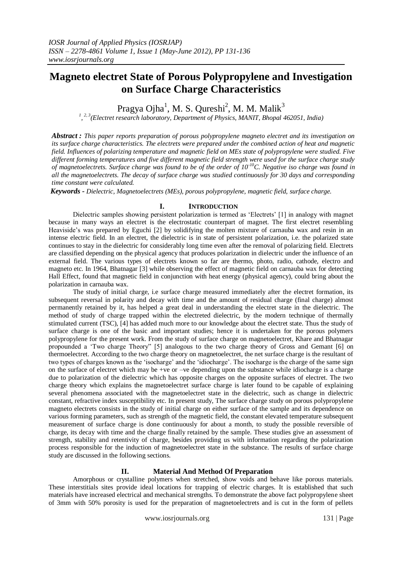# **Magneto electret State of Porous Polypropylene and Investigation on Surface Charge Characteristics**

Pragya Ojha $^1$ , M. S. Qureshi $^2$ , M. M. Malik $^3$ 

*1 , 2, 3(Electret research laboratory, Department of Physics, MANIT, Bhopal 462051, India)*

*Abstract : This paper reports preparation of porous polypropylene magneto electret and its investigation on its surface charge characteristics. The electrets were prepared under the combined action of heat and magnetic field. Influences of polarizing temperature and magnetic field on MEs state of polypropylene were studied. Five different forming temperatures and five different magnetic field strength were used for the surface charge study of magnetoelectrets. Surface charge was found to be of the order of 10-10C. Negative iso charge was found in all the magnetoelectrets. The decay of surface charge was studied continuously for 30 days and corresponding time constant were calculated.*

*Keywords - Dielectric, Magnetoelectrets (MEs), porous polypropylene, magnetic field, surface charge.*

# **I. INTRODUCTION**

Dielectric samples showing persistent polarization is termed as 'Electrets' [1] in analogy with magnet because in many ways an electret is the electrostatic counterpart of magnet. The first electret resembling Heaviside's was prepared by Eguchi [2] by solidifying the molten mixture of carnauba wax and resin in an intense electric field. In an electret, the dielectric is in state of persistent polarization, i.e. the polarized state continues to stay in the dielectric for considerably long time even after the removal of polarizing field. Electrets are classified depending on the physical agency that produces polarization in dielectric under the influence of an external field. The various types of electrets known so far are thermo, photo, radio, cathode, electro and magneto etc. In 1964, Bhatnagar [3] while observing the effect of magnetic field on carnauba wax for detecting Hall Effect, found that magnetic field in conjunction with heat energy (physical agency), could bring about the polarization in carnauba wax.

The study of initial charge, i.e surface charge measured immediately after the electret formation, its subsequent reversal in polarity and decay with time and the amount of residual charge (final charge) almost permanently retained by it, has helped a great deal in understanding the electret state in the dielectric. The method of study of charge trapped within the electreted dielectric, by the modern technique of thermally stimulated current (TSC), [4] has added much more to our knowledge about the electret state. Thus the study of surface charge is one of the basic and important studies; hence it is undertaken for the porous polymers polypropylene for the present work. From the study of surface charge on magnetoelectret, Khare and Bhatnagar propounded a 'Two charge Theory" [5] analogous to the two charge theory of Gross and Gemant [6] on thermoelectret. According to the two charge theory on magnetoelectret, the net surface charge is the resultant of two types of charges known as the 'isocharge' and the 'idiocharge'. The isocharge is the charge of the same sign on the surface of electret which may be +ve or –ve depending upon the substance while idiocharge is a charge due to polarization of the dielectric which has opposite charges on the opposite surfaces of electret. The two charge theory which explains the magnetoelectret surface charge is later found to be capable of explaining several phenomena associated with the magnetoelectret state in the dielectric, such as change in dielectric constant, refractive index susceptibility etc. In present study, The surface charge study on porous polypropylene magneto electrets consists in the study of initial charge on either surface of the sample and its dependence on various forming parameters, such as strength of the magnetic field, the constant elevated temperature subsequent measurement of surface charge is done continuously for about a month, to study the possible reversible of charge, its decay with time and the charge finally retained by the sample. These studies give an assessment of strength, stability and retentivity of charge, besides providing us with information regarding the polarization process responsible for the induction of magnetoelectret state in the substance. The results of surface charge study are discussed in the following sections.

### **II. Material And Method Of Preparation**

Amorphous or crystalline polymers when stretched, show voids and behave like porous materials. These interstitials sites provide ideal locations for trapping of electric charges. It is established that such materials have increased electrical and mechanical strengths. To demonstrate the above fact polypropylene sheet of 3mm with 50% porosity is used for the preparation of magnetoelectrets and is cut in the form of pellets

www.iosrjournals.org 131 | Page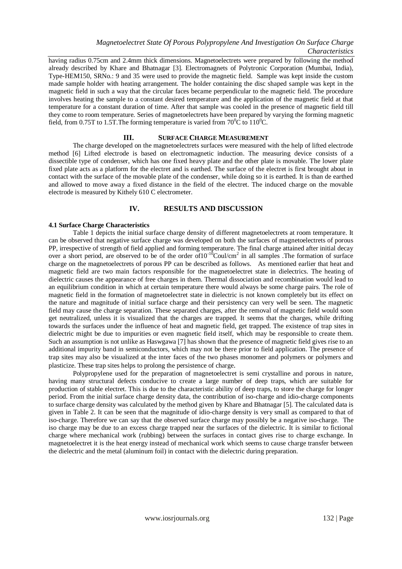having radius 0.75cm and 2.4mm thick dimensions. Magnetoelectrets were prepared by following the method already described by Khare and Bhatnagar [3]. Electromagnets of Polytronic Corporation (Mumbai, India), Type-HEM150, SRNo.: 9 and 35 were used to provide the magnetic field. Sample was kept inside the custom made sample holder with heating arrangement. The holder containing the disc shaped sample was kept in the magnetic field in such a way that the circular faces became perpendicular to the magnetic field. The procedure involves heating the sample to a constant desired temperature and the application of the magnetic field at that temperature for a constant duration of time. After that sample was cooled in the presence of magnetic field till they come to room temperature. Series of magnetoelectrets have been prepared by varying the forming magnetic field, from 0.75T to 1.5T. The forming temperature is varied from  $70^{\circ}$ C to  $110^{\circ}$ C.

#### **III. SURFACE CHARGE MEASUREMENT**

The charge developed on the magnetoelectrets surfaces were measured with the help of lifted electrode method [6] Lifted electrode is based on electromagnetic induction. The measuring device consists of a dissectible type of condenser, which has one fixed heavy plate and the other plate is movable. The lower plate fixed plate acts as a platform for the electret and is earthed. The surface of the electret is first brought about in contact with the surface of the movable plate of the condenser, while doing so it is earthed. It is than de earthed and allowed to move away a fixed distance in the field of the electret. The induced charge on the movable electrode is measured by Kithely 610 C electrometer.

#### **IV. RESULTS AND DISCUSSION**

#### **4.1 Surface Charge Characteristics**

Table 1 depicts the initial surface charge density of different magnetoelectrets at room temperature. It can be observed that negative surface charge was developed on both the surfaces of magnetoelectrets of porous PP, irrespective of strength of field applied and forming temperature. The final charge attained after initial decay over a short period, are observed to be of the order of  $10^{-10}$ Coul/cm<sup>2</sup> in all samples . The formation of surface charge on the magnetoelectrets of porous PP can be described as follows. As mentioned earlier that heat and magnetic field are two main factors responsible for the magnetoelectret state in dielectrics. The heating of dielectric causes the appearance of free charges in them. Thermal dissociation and recombination would lead to an equilibrium condition in which at certain temperature there would always be some charge pairs. The role of magnetic field in the formation of magnetoelectret state in dielectric is not known completely but its effect on the nature and magnitude of initial surface charge and their persistency can very well be seen. The magnetic field may cause the charge separation. These separated charges, after the removal of magnetic field would soon get neutralized, unless it is visualized that the charges are trapped. It seems that the charges, while drifting towards the surfaces under the influence of heat and magnetic field, get trapped. The existence of trap sites in dielectric might be due to impurities or even magnetic field itself, which may be responsible to create them. Such an assumption is not unlike as Haswgawa [7] has shown that the presence of magnetic field gives rise to an additional impurity band in semiconductors, which may not be there prior to field application. The presence of trap sites may also be visualized at the inter faces of the two phases monomer and polymers or polymers and plasticize. These trap sites helps to prolong the persistence of charge.

Polypropylene used for the preparation of magnetoelectret is semi crystalline and porous in nature, having many structural defects conducive to create a large number of deep traps, which are suitable for production of stable electret. This is due to the characteristic ability of deep traps, to store the charge for longer period. From the initial surface charge density data, the contribution of iso-charge and idio-charge components to surface charge density was calculated by the method given by Khare and Bhatnagar [5]. The calculated data is given in Table 2. It can be seen that the magnitude of idio-charge density is very small as compared to that of iso-charge. Therefore we can say that the observed surface charge may possibly be a negative iso-charge. The iso charge may be due to an excess charge trapped near the surfaces of the dielectric. It is similar to fictional charge where mechanical work (rubbing) between the surfaces in contact gives rise to charge exchange. In magnetoelectret it is the heat energy instead of mechanical work which seems to cause charge transfer between the dielectric and the metal (aluminum foil) in contact with the dielectric during preparation.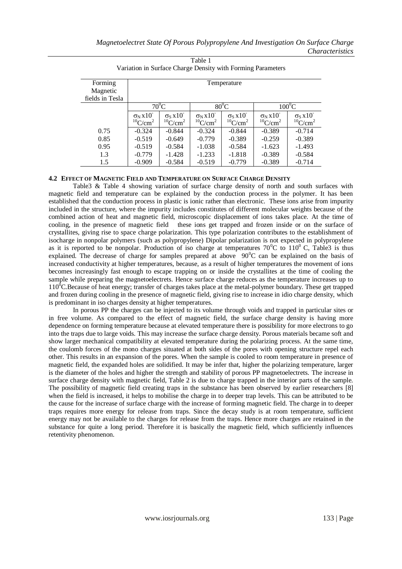| Forming         | Temperature                                              |                                                                      |                                                     |                                                     |                                                                                   |                                                |  |
|-----------------|----------------------------------------------------------|----------------------------------------------------------------------|-----------------------------------------------------|-----------------------------------------------------|-----------------------------------------------------------------------------------|------------------------------------------------|--|
| Magnetic        |                                                          |                                                                      |                                                     |                                                     |                                                                                   |                                                |  |
| fields in Tesla |                                                          |                                                                      |                                                     |                                                     |                                                                                   |                                                |  |
|                 | $70^0C$                                                  |                                                                      | $80^0C$                                             |                                                     | $100^0C$                                                                          |                                                |  |
|                 | $\sigma_{N}$ x 10 <sup>-</sup><br>$10$ C/cm <sup>2</sup> | $\sigma$ <sub>S</sub> x 10 <sup>-</sup><br>$^{10}$ C/cm <sup>2</sup> | $\sigma_N x 10^{-1}$<br>${}^{10}$ C/cm <sup>2</sup> | $\sigma$ s X $10^{-1}$<br>$^{10}$ C/cm <sup>2</sup> | $\sigma$ <sub>N</sub> X <sub>10</sub> <sup>-</sup><br>${}^{10}$ C/cm <sup>2</sup> | $\sigma_S x 10^{-1}$<br>$10$ C/cm <sup>2</sup> |  |
|                 |                                                          |                                                                      |                                                     |                                                     |                                                                                   |                                                |  |
| 0.75            | $-0.324$                                                 | $-0.844$                                                             | $-0.324$                                            | $-0.844$                                            | $-0.389$                                                                          | $-0.714$                                       |  |
| 0.85            | $-0.519$                                                 | $-0.649$                                                             | $-0.779$                                            | $-0.389$                                            | $-0.259$                                                                          | $-0.389$                                       |  |
| 0.95            | $-0.519$                                                 | $-0.584$                                                             | $-1.038$                                            | $-0.584$                                            | $-1.623$                                                                          | $-1.493$                                       |  |
| 1.3             | $-0.779$                                                 | $-1.428$                                                             | $-1.233$                                            | $-1.818$                                            | $-0.389$                                                                          | $-0.584$                                       |  |
| 1.5             | $-0.909$                                                 | $-0.584$                                                             | $-0.519$                                            | $-0.779$                                            | $-0.389$                                                                          | $-0.714$                                       |  |

Table 1 Variation in Surface Charge Density with Forming Parameters

#### **4.2 EFFECT OF MAGNETIC FIELD AND TEMPERATURE ON SURFACE CHARGE DENSITY**

Table3 & Table 4 showing variation of surface charge density of north and south surfaces with magnetic field and temperature can be explained by the conduction process in the polymer. It has been established that the conduction process in plastic is ionic rather than electronic. These ions arise from impurity included in the structure, where the impurity includes constitutes of different molecular weights because of the combined action of heat and magnetic field, microscopic displacement of ions takes place. At the time of cooling, in the presence of magnetic field these ions get trapped and frozen inside or on the surface of crystallites, giving rise to space charge polarization. This type polarization contributes to the establishment of isocharge in nonpolar polymers (such as polypropylene) Dipolar polarization is not expected in polypropylene as it is reported to be nonpolar. Production of iso charge at temperatures  $70^{\circ}$ C to  $110^{\circ}$  C, Table3 is thus explained. The decrease of charge for samples prepared at above  $90^{\circ}$ C can be explained on the basis of increased conductivity at higher temperatures, because, as a result of higher temperatures the movement of ions becomes increasingly fast enough to escape trapping on or inside the crystallites at the time of cooling the sample while preparing the magnetoelectrets. Hence surface charge reduces as the temperature increases up to 110<sup>0</sup>C.Because of heat energy; transfer of charges takes place at the metal-polymer boundary. These get trapped and frozen during cooling in the presence of magnetic field, giving rise to increase in idio charge density, which is predominant in iso charges density at higher temperatures.

In porous PP the charges can be injected to its volume through voids and trapped in particular sites or in free volume. As compared to the effect of magnetic field, the surface charge density is having more dependence on forming temperature because at elevated temperature there is possibility for more electrons to go into the traps due to large voids. This may increase the surface charge density. Porous materials became soft and show larger mechanical compatibility at elevated temperature during the polarizing process. At the same time, the coulomb forces of the mono charges situated at both sides of the pores with opening structure repel each other. This results in an expansion of the pores. When the sample is cooled to room temperature in presence of magnetic field, the expanded holes are solidified. It may be infer that, higher the polarizing temperature, larger is the diameter of the holes and higher the strength and stability of porous PP magnetoelectrets. The increase in surface charge density with magnetic field, Table 2 is due to charge trapped in the interior parts of the sample. The possibility of magnetic field creating traps in the substance has been observed by earlier researchers [8] when the field is increased, it helps to mobilise the charge in to deeper trap levels. This can be attributed to be the cause for the increase of surface charge with the increase of forming magnetic field. The charge in to deeper traps requires more energy for release from traps. Since the decay study is at room temperature, sufficient energy may not be available to the charges for release from the traps. Hence more charges are retained in the substance for quite a long period. Therefore it is basically the magnetic field, which sufficiently influences retentivity phenomenon.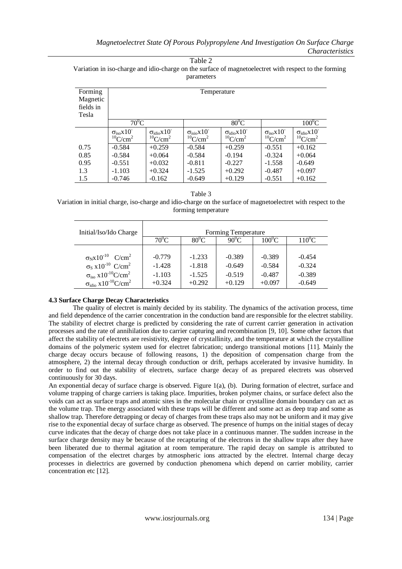Table 2

Variation in iso-charge and idio-charge on the surface of magnetoelectret with respect to the forming parameters

| Forming<br>Magnetic<br>fields in<br>Tesla | Temperature                                            |                                                            |                                                               |                                                       |                                                      |                                                       |  |
|-------------------------------------------|--------------------------------------------------------|------------------------------------------------------------|---------------------------------------------------------------|-------------------------------------------------------|------------------------------------------------------|-------------------------------------------------------|--|
|                                           | $70^0C$                                                |                                                            |                                                               | $80^0$ C                                              | $100^0C$                                             |                                                       |  |
|                                           | $\sigma_{iso} x 10^{-}$<br>${}^{10}$ C/cm <sup>2</sup> | $\sigma_{\text{idio}}x10^{-}$<br>$^{10}$ C/cm <sup>2</sup> | $\sigma_{\rm{isio}}$ $x10^{-}$<br>${}^{10}$ C/cm <sup>2</sup> | $\sigma_{idio}x10^{-}$<br>${}^{10}$ C/cm <sup>2</sup> | $\sigma_{iso}x10^{-}$<br>${}^{10}$ C/cm <sup>2</sup> | $\sigma_{idio}x10^{-}$<br>${}^{10}$ C/cm <sup>2</sup> |  |
| 0.75                                      | $-0.584$                                               | $+0.259$                                                   | $-0.584$                                                      | $+0.259$                                              | $-0.551$                                             | $+0.162$                                              |  |
| 0.85                                      | $-0.584$                                               | $+0.064$                                                   | $-0.584$                                                      | $-0.194$                                              | $-0.324$                                             | $+0.064$                                              |  |
| 0.95                                      | $-0.551$                                               | $+0.032$                                                   | $-0.811$                                                      | $-0.227$                                              | $-1.558$                                             | $-0.649$                                              |  |
| 1.3                                       | $-1.103$                                               | $+0.324$                                                   | $-1.525$                                                      | $+0.292$                                              | $-0.487$                                             | $+0.097$                                              |  |
| 1.5                                       | $-0.746$                                               | $-0.162$                                                   | $-0.649$                                                      | $+0.129$                                              | $-0.551$                                             | $+0.162$                                              |  |

# Table 3

Variation in initial charge, iso-charge and idio-charge on the surface of magnetoelectret with respect to the forming temperature

| Initial/Iso/Ido Charge                                      |          | Forming Temperature |                |                 |           |
|-------------------------------------------------------------|----------|---------------------|----------------|-----------------|-----------|
|                                                             | $70^0C$  | $80^{\circ}$ C      | $90^{\circ}$ C | $100^{\circ}$ C | $110^0$ C |
|                                                             |          |                     |                |                 |           |
| $\sigma_{N}$ x10 <sup>-10</sup> C/cm <sup>2</sup>           | $-0.779$ | $-1.233$            | $-0.389$       | $-0.389$        | $-0.454$  |
| $\sigma_S$ x10 <sup>-10</sup> C/cm <sup>2</sup>             | $-1.428$ | $-1.818$            | $-0.649$       | $-0.584$        | $-0.324$  |
| $\sigma_{\text{iso}}$ x10 <sup>-10</sup> C/cm <sup>2</sup>  | $-1.103$ | $-1.525$            | $-0.519$       | $-0.487$        | $-0.389$  |
| $\sigma_{\text{idio}}$ x10 <sup>-10</sup> C/cm <sup>2</sup> | $+0.324$ | $+0.292$            | $+0.129$       | $+0.097$        | $-0.649$  |

# **4.3 Surface Charge Decay Characteristics**

The quality of electret is mainly decided by its stability. The dynamics of the activation process, time and field dependence of the carrier concentration in the conduction band are responsible for the electret stability. The stability of electret charge is predicted by considering the rate of current carrier generation in activation processes and the rate of annihilation due to carrier capturing and recombination [9, 10]. Some other factors that affect the stability of electrets are resistivity, degree of crystallinity, and the temperature at which the crystalline domains of the polymeric system used for electret fabrication; undergo transitional motions [11]. Mainly the charge decay occurs because of following reasons, 1) the deposition of compensation charge from the atmosphere, 2) the internal decay through conduction or drift, perhaps accelerated by invasive humidity. In order to find out the stability of electrets, surface charge decay of as prepared electrets was observed continuously for 30 days.

An exponential decay of surface charge is observed. Figure 1(a), (b). During formation of electret, surface and volume trapping of charge carriers is taking place. Impurities, broken polymer chains, or surface defect also the voids can act as surface traps and atomic sites in the molecular chain or crystalline domain boundary can act as the volume trap. The energy associated with these traps will be different and some act as deep trap and some as shallow trap. Therefore detrapping or decay of charges from these traps also may not be uniform and it may give rise to the exponential decay of surface charge as observed. The presence of humps on the initial stages of decay curve indicates that the decay of charge does not take place in a continuous manner. The sudden increase in the surface charge density may be because of the recapturing of the electrons in the shallow traps after they have been liberated due to thermal agitation at room temperature. The rapid decay on sample is attributed to compensation of the electret charges by atmospheric ions attracted by the electret. Internal charge decay processes in dielectrics are governed by conduction phenomena which depend on carrier mobility, carrier concentration etc [12].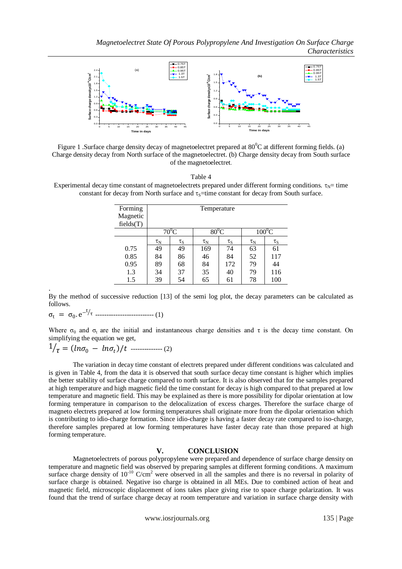

Figure 1 . Surface charge density decay of magnetoelectret prepared at  $80^{\circ}$ C at different forming fields. (a) Charge density decay from North surface of the magnetoelectret. (b) Charge density decay from South surface of the magnetoelectret.

Table 4

Experimental decay time constant of magnetoelectrets prepared under different forming conditions.  $\tau_{N}=$  time constant for decay from North surface and  $\tau_s$ =time constant for decay from South surface.

| Forming<br>Magnetic<br>fields(T) | Temperature    |                |                     |                |                |                |
|----------------------------------|----------------|----------------|---------------------|----------------|----------------|----------------|
|                                  | $70^0C$        |                | $80^0$ C            |                | $100^0C$       |                |
|                                  | $\tau_{\rm N}$ | $\tau_{\rm S}$ | $\tau_{\textrm{N}}$ | $\tau_{\rm S}$ | $\tau_{\rm N}$ | $\tau_{\rm S}$ |
| 0.75                             | 49             | 49             | 169                 | 74             | 63             | 61             |
| 0.85                             | 84             | 86             | 46                  | 84             | 52             | 117            |
| 0.95                             | 89             | 68             | 84                  | 172            | 79             | 44             |
| 1.3                              | 34             | 37             | 35                  | 40             | 79             | 116            |
| 1.5                              | 39             | 54             | 65                  | 61             | 78             | 100            |

By the method of successive reduction [13] of the semi log plot, the decay parameters can be calculated as follows.

 $\sigma_t = \sigma_0 e^{-t/\tau}$  --------------------------------- (1)

.

Where  $\sigma_0$  and  $\sigma_t$  are the initial and instantaneous charge densities and  $\tau$  is the decay time constant. On simplifying the equation we get,

$$
1/\tau = (\ln \sigma_0 - \ln \sigma_t)/t \ \cdots \ \cdots \ \cdots \ \cdots \ \ (2)
$$

The variation in decay time constant of electrets prepared under different conditions was calculated and is given in Table 4, from the data it is observed that south surface decay time constant is higher which implies the better stability of surface charge compared to north surface. It is also observed that for the samples prepared at high temperature and high magnetic field the time constant for decay is high compared to that prepared at low temperature and magnetic field. This may be explained as there is more possibility for dipolar orientation at low forming temperature in comparison to the delocalization of excess charges. Therefore the surface charge of magneto electrets prepared at low forming temperatures shall originate more from the dipolar orientation which is contributing to idio-charge formation. Since idio-charge is having a faster decay rate compared to iso-charge, therefore samples prepared at low forming temperatures have faster decay rate than those prepared at high forming temperature.

#### **V. CONCLUSION**

Magnetoelectrets of porous polypropylene were prepared and dependence of surface charge density on temperature and magnetic field was observed by preparing samples at different forming conditions. A maximum surface charge density of  $10^{-10}$  C/cm<sup>2</sup> were observed in all the samples and there is no reversal in polarity of surface charge is obtained. Negative iso charge is obtained in all MEs. Due to combined action of heat and magnetic field, microscopic displacement of ions takes place giving rise to space charge polarization. It was found that the trend of surface charge decay at room temperature and variation in surface charge density with

www.iosrjournals.org 135 | Page